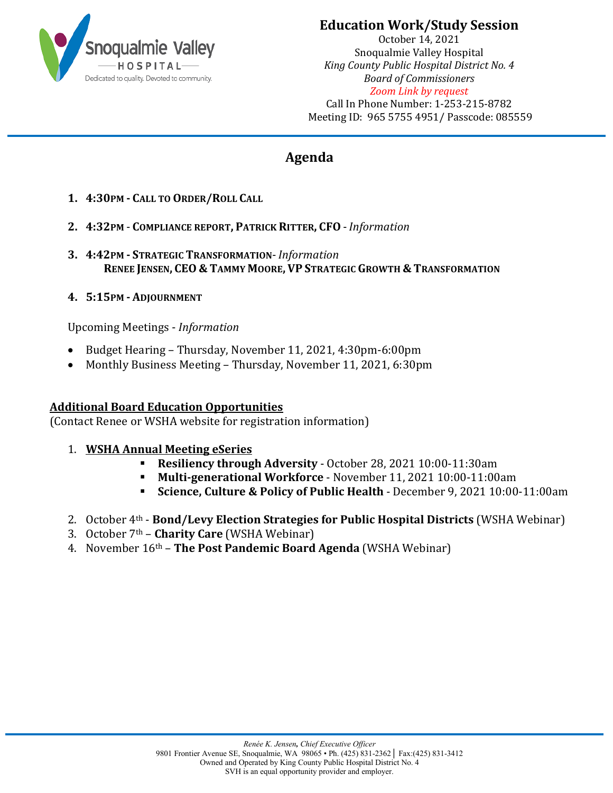

## **Education Work/Study Session**

October 14, 2021 Snoqualmie Valley Hospital *King County Public Hospital District No. 4 Board of Commissioners Zoom Link by request* Call In Phone Number: 1-253-215-8782 Meeting ID: 965 5755 4951/ Passcode: 085559

## **Agenda**

- **1. 4:30PM - CALL TO ORDER/ROLL CALL**
- **2. 4:32PM COMPLIANCE REPORT, PATRICK RITTER, CFO** *Information*
- **3. 4:42PM - STRATEGIC TRANSFORMATION** *Information* **RENEE JENSEN, CEO & TAMMY MOORE, VP STRATEGIC GROWTH & TRANSFORMATION**
- **4. 5:15PM - ADJOURNMENT**

Upcoming Meetings - *Information*

- Budget Hearing Thursday, November 11, 2021, 4:30pm-6:00pm
- Monthly Business Meeting Thursday, November 11, 2021, 6:30pm

## **Additional Board Education Opportunities**

(Contact Renee or WSHA website for registration information)

## 1. **WSHA Annual Meeting eSeries**

- **Resiliency through Adversity** October 28, 2021 10:00-11:30am
- **Multi-generational Workforce** November 11, 2021 10:00-11:00am
- **Science, Culture & Policy of Public Health** December 9, 2021 10:00-11:00am
- 2. October 4th **Bond/Levy Election Strategies for Public Hospital Districts** (WSHA Webinar)
- 3. October 7th **Charity Care** (WSHA Webinar)
- 4. November 16th **The Post Pandemic Board Agenda** (WSHA Webinar)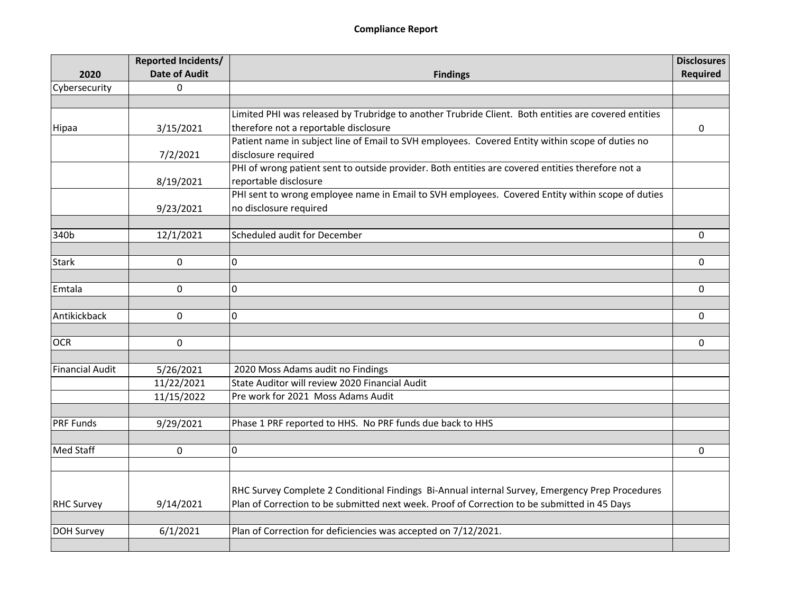|                   | Reported Incidents/  |                                                                                                      | <b>Disclosures</b> |
|-------------------|----------------------|------------------------------------------------------------------------------------------------------|--------------------|
| 2020              | <b>Date of Audit</b> | <b>Findings</b>                                                                                      | <b>Required</b>    |
| Cybersecurity     | $\mathbf 0$          |                                                                                                      |                    |
|                   |                      |                                                                                                      |                    |
|                   |                      | Limited PHI was released by Trubridge to another Trubride Client. Both entities are covered entities |                    |
| Hipaa             | 3/15/2021            | therefore not a reportable disclosure                                                                | 0                  |
|                   |                      | Patient name in subject line of Email to SVH employees. Covered Entity within scope of duties no     |                    |
|                   | 7/2/2021             | disclosure required                                                                                  |                    |
|                   |                      | PHI of wrong patient sent to outside provider. Both entities are covered entities therefore not a    |                    |
|                   | 8/19/2021            | reportable disclosure                                                                                |                    |
|                   |                      | PHI sent to wrong employee name in Email to SVH employees. Covered Entity within scope of duties     |                    |
|                   | 9/23/2021            | no disclosure required                                                                               |                    |
|                   |                      |                                                                                                      |                    |
| 340b              | 12/1/2021            | Scheduled audit for December                                                                         | 0                  |
|                   |                      |                                                                                                      |                    |
| <b>Stark</b>      | 0                    | 0                                                                                                    | 0                  |
|                   |                      |                                                                                                      |                    |
| Emtala            | 0                    | 0                                                                                                    | 0                  |
|                   |                      |                                                                                                      |                    |
| Antikickback      | 0                    | 0                                                                                                    | 0                  |
|                   |                      |                                                                                                      |                    |
| <b>OCR</b>        | $\mathbf 0$          |                                                                                                      | 0                  |
|                   |                      |                                                                                                      |                    |
| Financial Audit   | 5/26/2021            | 2020 Moss Adams audit no Findings                                                                    |                    |
|                   | 11/22/2021           | State Auditor will review 2020 Financial Audit                                                       |                    |
|                   | 11/15/2022           | Pre work for 2021 Moss Adams Audit                                                                   |                    |
|                   |                      |                                                                                                      |                    |
| <b>PRF Funds</b>  | 9/29/2021            | Phase 1 PRF reported to HHS. No PRF funds due back to HHS                                            |                    |
|                   |                      |                                                                                                      |                    |
| Med Staff         | $\mathbf 0$          | 0                                                                                                    | $\Omega$           |
|                   |                      |                                                                                                      |                    |
|                   |                      |                                                                                                      |                    |
|                   |                      | RHC Survey Complete 2 Conditional Findings Bi-Annual internal Survey, Emergency Prep Procedures      |                    |
| <b>RHC Survey</b> | 9/14/2021            | Plan of Correction to be submitted next week. Proof of Correction to be submitted in 45 Days         |                    |
|                   |                      |                                                                                                      |                    |
| DOH Survey        | 6/1/2021             | Plan of Correction for deficiencies was accepted on 7/12/2021.                                       |                    |
|                   |                      |                                                                                                      |                    |